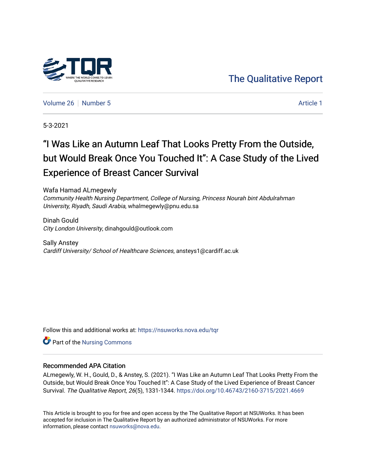# [The Qualitative Report](https://nsuworks.nova.edu/tqr)

[Volume 26](https://nsuworks.nova.edu/tqr/vol26) [Number 5](https://nsuworks.nova.edu/tqr/vol26/iss5) Article 1

5-3-2021

# "I Was Like an Autumn Leaf That Looks Pretty From the Outside, but Would Break Once You Touched It": A Case Study of the Lived Experience of Breast Cancer Survival

Wafa Hamad ALmegewly Community Health Nursing Department, College of Nursing, Princess Nourah bint Abdulrahman University, Riyadh, Saudi Arabia, whalmegewly@pnu.edu.sa

Dinah Gould City London University, dinahgould@outlook.com

Sally Anstey Cardiff University/ School of Healthcare Sciences, ansteys1@cardiff.ac.uk

Follow this and additional works at: [https://nsuworks.nova.edu/tqr](https://nsuworks.nova.edu/tqr?utm_source=nsuworks.nova.edu%2Ftqr%2Fvol26%2Fiss5%2F1&utm_medium=PDF&utm_campaign=PDFCoverPages) 

Part of the [Nursing Commons](http://network.bepress.com/hgg/discipline/718?utm_source=nsuworks.nova.edu%2Ftqr%2Fvol26%2Fiss5%2F1&utm_medium=PDF&utm_campaign=PDFCoverPages) 

#### Recommended APA Citation

ALmegewly, W. H., Gould, D., & Anstey, S. (2021). "I Was Like an Autumn Leaf That Looks Pretty From the Outside, but Would Break Once You Touched It": A Case Study of the Lived Experience of Breast Cancer Survival. The Qualitative Report, 26(5), 1331-1344. <https://doi.org/10.46743/2160-3715/2021.4669>

This Article is brought to you for free and open access by the The Qualitative Report at NSUWorks. It has been accepted for inclusion in The Qualitative Report by an authorized administrator of NSUWorks. For more information, please contact [nsuworks@nova.edu.](mailto:nsuworks@nova.edu)

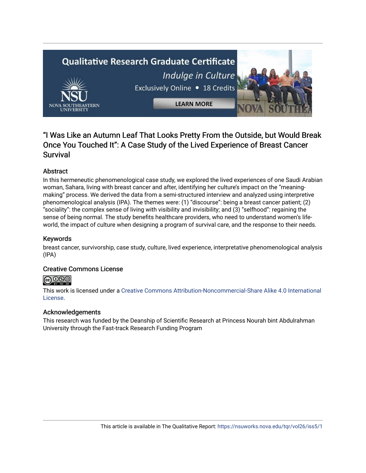# **Qualitative Research Graduate Certificate** Indulge in Culture Exclusively Online . 18 Credits **LEARN MORE**

# "I Was Like an Autumn Leaf That Looks Pretty From the Outside, but Would Break Once You Touched It": A Case Study of the Lived Experience of Breast Cancer **Survival**

## Abstract

In this hermeneutic phenomenological case study, we explored the lived experiences of one Saudi Arabian woman, Sahara, living with breast cancer and after, identifying her culture's impact on the "meaningmaking" process. We derived the data from a semi-structured interview and analyzed using interpretive phenomenological analysis (IPA). The themes were: (1) "discourse": being a breast cancer patient; (2) "sociality": the complex sense of living with visibility and invisibility; and (3) "selfhood": regaining the sense of being normal. The study benefits healthcare providers, who need to understand women's lifeworld, the impact of culture when designing a program of survival care, and the response to their needs.

#### Keywords

breast cancer, survivorship, case study, culture, lived experience, interpretative phenomenological analysis (IPA)

#### Creative Commons License

## <u>෬</u>0෧෧

This work is licensed under a [Creative Commons Attribution-Noncommercial-Share Alike 4.0 International](https://creativecommons.org/licenses/by-nc-sa/4.0/)  [License](https://creativecommons.org/licenses/by-nc-sa/4.0/).

#### Acknowledgements

This research was funded by the Deanship of Scientific Research at Princess Nourah bint Abdulrahman University through the Fast-track Research Funding Program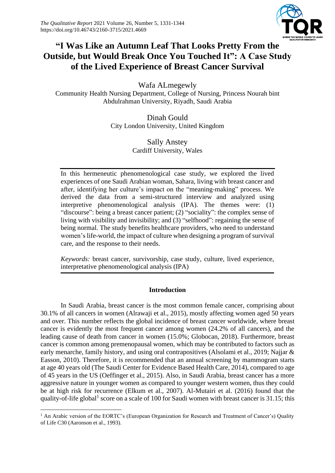

# **"I Was Like an Autumn Leaf That Looks Pretty From the Outside, but Would Break Once You Touched It": A Case Study of the Lived Experience of Breast Cancer Survival**

Wafa ALmegewly

Community Health Nursing Department, College of Nursing, Princess Nourah bint Abdulrahman University, Riyadh, Saudi Arabia

> Dinah Gould City London University, United Kingdom

> > Sally Anstey Cardiff University, Wales

In this hermeneutic phenomenological case study, we explored the lived experiences of one Saudi Arabian woman, Sahara, living with breast cancer and after, identifying her culture's impact on the "meaning-making" process. We derived the data from a semi-structured interview and analyzed using interpretive phenomenological analysis (IPA). The themes were: (1) "discourse": being a breast cancer patient; (2) "sociality": the complex sense of living with visibility and invisibility; and (3) "selfhood": regaining the sense of being normal. The study benefits healthcare providers, who need to understand women's life-world, the impact of culture when designing a program of survival care, and the response to their needs.

*Keywords:* breast cancer, survivorship, case study, culture, lived experience, interpretative phenomenological analysis (IPA)

## **Introduction**

In Saudi Arabia, breast cancer is the most common female cancer, comprising about 30.1% of all cancers in women (Alrawaji et al., 2015), mostly affecting women aged 50 years and over. This number reflects the global incidence of breast cancer worldwide, where breast cancer is evidently the most frequent cancer among women (24.2% of all cancers), and the leading cause of death from cancer in women (15.0%; Globocan, 2018). Furthermore, breast cancer is common among premenopausal women, which may be contributed to factors such as early menarche, family history, and using oral contrapositives (Alsolami et al., 2019; Najjar & Easson, 2010). Therefore, it is recommended that an annual screening by mammogram starts at age 40 years old (The Saudi Center for Evidence Based Health Care, 2014), compared to age of 45 years in the US (Oeffinger et al., 2015). Also, in Saudi Arabia, breast cancer has a more aggressive nature in younger women as compared to younger western women, thus they could be at high risk for recurrence (Elkum et al., 2007). Al-Mutairi et al. (2016) found that the quality-of-life global<sup>1</sup> score on a scale of 100 for Saudi women with breast cancer is 31.15; this

<sup>&</sup>lt;sup>1</sup> An Arabic version of the EORTC's (European Organization for Research and Treatment of Cancer's) Quality of Life C30 (Aaronson et al., 1993).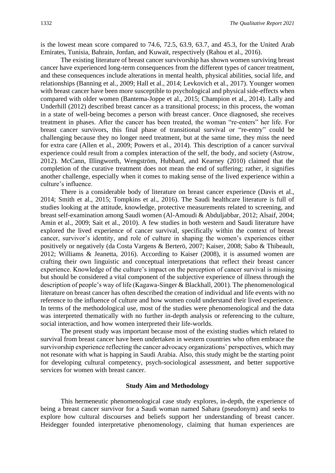is the lowest mean score compared to 74.6, 72.5, 63.9, 63.7, and 45.3, for the United Arab Emirates, Tunisia, Bahrain, Jordan, and Kuwait, respectively (Rahou et al., 2016).

The existing literature of breast cancer survivorship has shown women surviving breast cancer have experienced long-term consequences from the different types of cancer treatment, and these consequences include alterations in mental health, physical abilities, social life, and relationships (Banning et al., 2009; Hall et al., 2014; Levkovich et al., 2017). Younger women with breast cancer have been more susceptible to psychological and physical side-effects when compared with older women (Bantema-Joppe et al., 2015; Champion et al., 2014). Lally and Underhill (2012) described breast cancer as a transitional process; in this process, the woman in a state of well-being becomes a person with breast cancer. Once diagnosed, she receives treatment in phases. After the cancer has been treated, the woman "re-enters" her life. For breast cancer survivors, this final phase of transitional survival or "re-entry" could be challenging because they no longer need treatment, but at the same time, they miss the need for extra care (Allen et al., 2009; Powers et al., 2014). This description of a cancer survival experience could result from a complex interaction of the self, the body, and society (Astrow, 2012). McCann, Illingworth, Wengström, Hubbard, and Kearney (2010) claimed that the completion of the curative treatment does not mean the end of suffering; rather, it signifies another challenge, especially when it comes to making sense of the lived experience within a culture's influence.

There is a considerable body of literature on breast cancer experience (Davis et al., 2014; Smith et al., 2015; Tompkins et al., 2016). The Saudi healthcare literature is full of studies looking at the attitude, knowledge, protective measurements related to screening, and breast self-examination among Saudi women (Al-Amoudi & Abduljabbar, 2012; Alsaif, 2004; Amin et al., 2009; Sait et al., 2010). A few studies in both western and Saudi literature have explored the lived experience of cancer survival, specifically within the context of breast cancer, survivor's identity, and role of culture in shaping the women's experiences either positively or negatively (da Costa Vargens & Berterö, 2007; Kaiser, 2008; Sabo & Thibeault, 2012; Williams & Jeanetta, 2016). According to Kaiser (2008), it is assumed women are crafting their own linguistic and conceptual interpretations that reflect their breast cancer experience. Knowledge of the culture's impact on the perception of cancer survival is missing but should be considered a vital component of the subjective experience of illness through the description of people's way of life (Kagawa-Singer & Blackhall, 2001). The phenomenological literature on breast cancer has often described the creation of individual and life events with no reference to the influence of culture and how women could understand their lived experience. In terms of the methodological use, most of the studies were phenomenological and the data was interpreted thematically with no further in-depth analysis or referencing to the culture, social interaction, and how women interpreted their life-worlds.

The present study was important because most of the existing studies which related to survival from breast cancer have been undertaken in western countries who often embrace the survivorship experience reflecting the cancer advocacy organizations' perspectives, which may not resonate with what is happing in Saudi Arabia. Also, this study might be the starting point for developing cultural competency, psych-sociological assessment, and better supportive services for women with breast cancer.

#### **Study Aim and Methodology**

This hermeneutic phenomenological case study explores, in-depth, the experience of being a breast cancer survivor for a Saudi woman named Sahara (pseudonym) and seeks to explore how cultural discourses and beliefs support her understanding of breast cancer. Heidegger founded interpretative phenomenology, claiming that human experiences are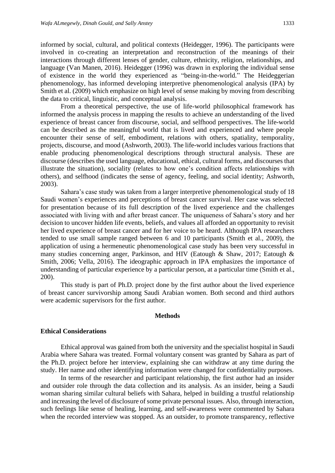informed by social, cultural, and political contexts (Heidegger, 1996). The participants were involved in co-creating an interpretation and reconstruction of the meanings of their interactions through different lenses of gender, culture, ethnicity, religion, relationships, and language (Van Manen, 2016). Heidegger (1996) was drawn in exploring the individual sense of existence in the world they experienced as "being-in-the-world." The Heideggerian phenomenology, has informed developing interpretive phenomenological analysis (IPA) by Smith et al. (2009) which emphasize on high level of sense making by moving from describing the data to critical, linguistic, and conceptual analysis.

From a theoretical perspective, the use of life-world philosophical framework has informed the analysis process in mapping the results to achieve an understanding of the lived experience of breast cancer from discourse, social, and selfhood perspectives. The life-world can be described as the meaningful world that is lived and experienced and where people encounter their sense of self, embodiment, relations with others, spatiality, temporality, projects, discourse, and mood (Ashworth, 2003). The life-world includes various fractions that enable producing phenomenological descriptions through structural analysis. These are discourse (describes the used language, educational, ethical, cultural forms, and discourses that illustrate the situation), sociality (relates to how one's condition affects relationships with others), and selfhood (indicates the sense of agency, feeling, and social identity; Ashworth, 2003).

Sahara's case study was taken from a larger interpretive phenomenological study of 18 Saudi women's experiences and perceptions of breast cancer survival. Her case was selected for presentation because of its full description of the lived experience and the challenges associated with living with and after breast cancer. The uniqueness of Sahara's story and her decision to uncover hidden life events, beliefs, and values all afforded an opportunity to revisit her lived experience of breast cancer and for her voice to be heard. Although IPA researchers tended to use small sample ranged between 6 and 10 participants (Smith et al., 2009), the application of using a hermeneutic phenomenological case study has been very successful in many studies concerning anger, Parkinson, and HIV (Eatough & Shaw, 2017; Eatough & Smith, 2006; Vella, 2016). The ideographic approach in IPA emphasizes the importance of understanding of particular experience by a particular person, at a particular time (Smith et al., 200).

This study is part of Ph.D. project done by the first author about the lived experience of breast cancer survivorship among Saudi Arabian women. Both second and third authors were academic supervisors for the first author.

#### **Methods**

#### **Ethical Considerations**

Ethical approval was gained from both the university and the specialist hospital in Saudi Arabia where Sahara was treated. Formal voluntary consent was granted by Sahara as part of the Ph.D. project before her interview, explaining she can withdraw at any time during the study. Her name and other identifying information were changed for confidentiality purposes.

In terms of the researcher and participant relationship, the first author had an insider and outsider role through the data collection and its analysis. As an insider, being a Saudi woman sharing similar cultural beliefs with Sahara, helped in building a trustful relationship and increasing the level of disclosure of some private personal issues. Also, through interaction, such feelings like sense of healing, learning, and self-awareness were commented by Sahara when the recorded interview was stopped. As an outsider, to promote transparency, reflective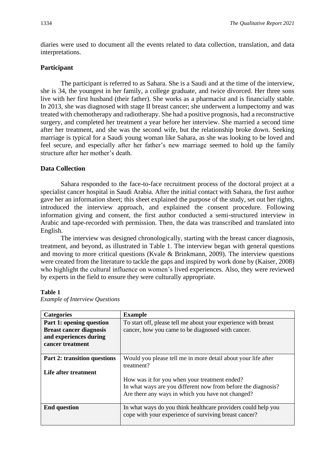diaries were used to document all the events related to data collection, translation, and data interpretations.

#### **Participant**

The participant is referred to as Sahara. She is a Saudi and at the time of the interview, she is 34, the youngest in her family, a college graduate, and twice divorced. Her three sons live with her first husband (their father). She works as a pharmacist and is financially stable. In 2013, she was diagnosed with stage II breast cancer; she underwent a lumpectomy and was treated with chemotherapy and radiotherapy. She had a positive prognosis, had a reconstructive surgery, and completed her treatment a year before her interview. She married a second time after her treatment, and she was the second wife, but the relationship broke down. Seeking marriage is typical for a Saudi young woman like Sahara, as she was looking to be loved and feel secure, and especially after her father's new marriage seemed to hold up the family structure after her mother's death.

## **Data Collection**

Sahara responded to the face-to-face recruitment process of the doctoral project at a specialist cancer hospital in Saudi Arabia. After the initial contact with Sahara, the first author gave her an information sheet; this sheet explained the purpose of the study, set out her rights, introduced the interview approach, and explained the consent procedure. Following information giving and consent, the first author conducted a semi-structured interview in Arabic and tape-recorded with permission. Then, the data was transcribed and translated into English.

The interview was designed chronologically, starting with the breast cancer diagnosis, treatment, and beyond, as illustrated in Table 1. The interview began with general questions and moving to more critical questions (Kvale & Brinkmann, 2009). The interview questions were created from the literature to tackle the gaps and inspired by work done by (Kaiser, 2008) who highlight the cultural influence on women's lived experiences. Also, they were reviewed by experts in the field to ensure they were culturally appropriate.

#### **Table 1**

| <b>Categories</b>                                                                                        | <b>Example</b>                                                                                                                                                      |
|----------------------------------------------------------------------------------------------------------|---------------------------------------------------------------------------------------------------------------------------------------------------------------------|
| Part 1: opening question<br><b>Breast cancer diagnosis</b><br>and experiences during<br>cancer treatment | To start off, please tell me about your experience with breast<br>cancer, how you came to be diagnosed with cancer.                                                 |
| Part 2: transition questions<br>Life after treatment                                                     | Would you please tell me in more detail about your life after<br>treatment?                                                                                         |
|                                                                                                          | How was it for you when your treatment ended?<br>In what ways are you different now from before the diagnosis?<br>Are there any ways in which you have not changed? |
| <b>End question</b>                                                                                      | In what ways do you think healthcare providers could help you<br>cope with your experience of surviving breast cancer?                                              |

*Example of Interview Questions*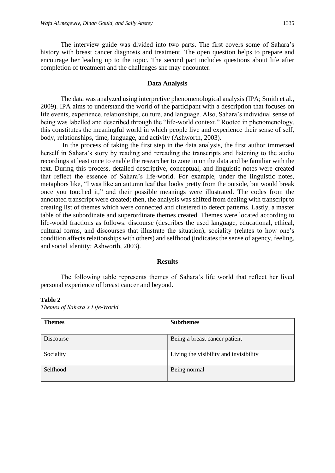The interview guide was divided into two parts. The first covers some of Sahara's history with breast cancer diagnosis and treatment. The open question helps to prepare and encourage her leading up to the topic. The second part includes questions about life after completion of treatment and the challenges she may encounter.

#### **Data Analysis**

The data was analyzed using interpretive phenomenological analysis (IPA; Smith et al., 2009). IPA aims to understand the world of the participant with a description that focuses on life events, experience, relationships, culture, and language. Also, Sahara's individual sense of being was labelled and described through the "life-world context." Rooted in phenomenology, this constitutes the meaningful world in which people live and experience their sense of self, body, relationships, time, language, and activity (Ashworth, 2003).

In the process of taking the first step in the data analysis, the first author immersed herself in Sahara's story by reading and rereading the transcripts and listening to the audio recordings at least once to enable the researcher to zone in on the data and be familiar with the text. During this process, detailed descriptive, conceptual, and linguistic notes were created that reflect the essence of Sahara's life-world. For example, under the linguistic notes, metaphors like, "I was like an autumn leaf that looks pretty from the outside, but would break once you touched it," and their possible meanings were illustrated. The codes from the annotated transcript were created; then, the analysis was shifted from dealing with transcript to creating list of themes which were connected and clustered to detect patterns. Lastly, a master table of the subordinate and superordinate themes created. Themes were located according to life-world fractions as follows: discourse (describes the used language, educational, ethical, cultural forms, and discourses that illustrate the situation), sociality (relates to how one's condition affects relationships with others) and selfhood (indicates the sense of agency, feeling, and social identity; Ashworth, 2003).

#### **Results**

The following table represents themes of Sahara's life world that reflect her lived personal experience of breast cancer and beyond.

#### **Table 2**

*Themes of Sahara's Life-World*

| <b>Themes</b>    | <b>Subthemes</b>                       |
|------------------|----------------------------------------|
| <b>Discourse</b> | Being a breast cancer patient          |
| Sociality        | Living the visibility and invisibility |
| Selfhood         | Being normal                           |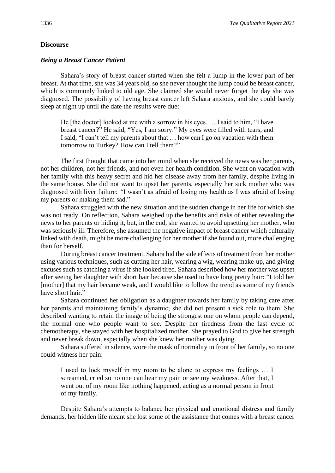#### **Discourse**

#### *Being a Breast Cancer Patient*

Sahara's story of breast cancer started when she felt a lump in the lower part of her breast. At that time, she was 34 years old, so she never thought the lump could be breast cancer, which is commonly linked to old age. She claimed she would never forget the day she was diagnosed. The possibility of having breast cancer left Sahara anxious, and she could barely sleep at night up until the date the results were due:

He [the doctor] looked at me with a sorrow in his eyes. … I said to him, "I have breast cancer?" He said, "Yes, I am sorry." My eyes were filled with tears, and I said, "I can't tell my parents about that … how can I go on vacation with them tomorrow to Turkey? How can I tell them?"

The first thought that came into her mind when she received the news was her parents, not her children, not her friends, and not even her health condition. She went on vacation with her family with this heavy secret and hid her disease away from her family, despite living in the same house. She did not want to upset her parents, especially her sick mother who was diagnosed with liver failure: *"*I wasn't as afraid of losing my health as I was afraid of losing my parents or making them sad."

Sahara struggled with the new situation and the sudden change in her life for which she was not ready. On reflection, Sahara weighed up the benefits and risks of either revealing the news to her parents or hiding it, but, in the end, she wanted to avoid upsetting her mother, who was seriously ill. Therefore, she assumed the negative impact of breast cancer which culturally linked with death, might be more challenging for her mother if she found out, more challenging than for herself.

During breast cancer treatment, Sahara hid the side effects of treatment from her mother using various techniques, such as cutting her hair, wearing a wig, wearing make-up, and giving excuses such as catching a virus if she looked tired. Sahara described how her mother was upset after seeing her daughter with short hair because she used to have long pretty hair: "I told her [mother] that my hair became weak, and I would like to follow the trend as some of my friends have short hair."

Sahara continued her obligation as a daughter towards her family by taking care after her parents and maintaining family's dynamic; she did not present a sick role to them. She described wanting to retain the image of being the strongest one on whom people can depend, the normal one who people want to see. Despite her tiredness from the last cycle of chemotherapy, she stayed with her hospitalized mother. She prayed to God to give her strength and never break down, especially when she knew her mother was dying.

Sahara suffered in silence, wore the mask of normality in front of her family, so no one could witness her pain:

I used to lock myself in my room to be alone to express my feelings … I screamed, cried so no one can hear my pain or see my weakness. After that, I went out of my room like nothing happened, acting as a normal person in front of my family.

Despite Sahara's attempts to balance her physical and emotional distress and family demands, her hidden life meant she lost some of the assistance that comes with a breast cancer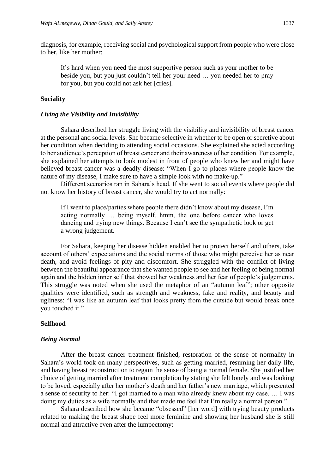diagnosis, for example, receiving social and psychological support from people who were close to her, like her mother:

It's hard when you need the most supportive person such as your mother to be beside you, but you just couldn't tell her your need … you needed her to pray for you, but you could not ask her [cries].

#### **Sociality**

#### *Living the Visibility and Invisibility*

Sahara described her struggle living with the visibility and invisibility of breast cancer at the personal and social levels. She became selective in whether to be open or secretive about her condition when deciding to attending social occasions. She explained she acted according to her audience's perception of breast cancer and their awareness of her condition. For example, she explained her attempts to look modest in front of people who knew her and might have believed breast cancer was a deadly disease: "When I go to places where people know the nature of my disease, I make sure to have a simple look with no make-up."

Different scenarios ran in Sahara's head. If she went to social events where people did not know her history of breast cancer, she would try to act normally:

If I went to place/parties where people there didn't know about my disease, I'm acting normally … being myself, hmm, the one before cancer who loves dancing and trying new things. Because I can't see the sympathetic look or get a wrong judgement.

For Sahara, keeping her disease hidden enabled her to protect herself and others, take account of others' expectations and the social norms of those who might perceive her as near death, and avoid feelings of pity and discomfort. She struggled with the conflict of living between the beautiful appearance that she wanted people to see and her feeling of being normal again and the hidden inner self that showed her weakness and her fear of people's judgements. This struggle was noted when she used the metaphor of an "autumn leaf"; other opposite qualities were identified, such as strength and weakness, fake and reality, and beauty and ugliness: "I was like an autumn leaf that looks pretty from the outside but would break once you touched it."

#### **Selfhood**

#### *Being Normal*

After the breast cancer treatment finished, restoration of the sense of normality in Sahara's world took on many perspectives, such as getting married, resuming her daily life, and having breast reconstruction to regain the sense of being a normal female. She justified her choice of getting married after treatment completion by stating she felt lonely and was looking to be loved, especially after her mother's death and her father's new marriage, which presented a sense of security to her: "I got married to a man who already knew about my case. … I was doing my duties as a wife normally and that made me feel that I'm really a normal person."

Sahara described how she became "obsessed" [her word] with trying beauty products related to making the breast shape feel more feminine and showing her husband she is still normal and attractive even after the lumpectomy: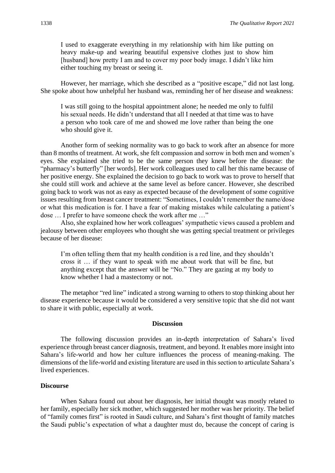I used to exaggerate everything in my relationship with him like putting on heavy make-up and wearing beautiful expensive clothes just to show him [husband] how pretty I am and to cover my poor body image. I didn't like him either touching my breast or seeing it.

However, her marriage, which she described as a "positive escape," did not last long. She spoke about how unhelpful her husband was, reminding her of her disease and weakness:

I was still going to the hospital appointment alone; he needed me only to fulfil his sexual needs. He didn't understand that all I needed at that time was to have a person who took care of me and showed me love rather than being the one who should give it.

Another form of seeking normality was to go back to work after an absence for more than 8 months of treatment. At work, she felt compassion and sorrow in both men and women's eyes. She explained she tried to be the same person they knew before the disease: the "pharmacy's butterfly" [her words]. Her work colleagues used to call her this name because of her positive energy. She explained the decision to go back to work was to prove to herself that she could still work and achieve at the same level as before cancer. However, she described going back to work was not as easy as expected because of the development of some cognitive issues resulting from breast cancer treatment: "Sometimes, I couldn't remember the name/dose or what this medication is for. I have a fear of making mistakes while calculating a patient's dose … I prefer to have someone check the work after me …"

Also, she explained how her work colleagues' sympathetic views caused a problem and jealousy between other employees who thought she was getting special treatment or privileges because of her disease:

I'm often telling them that my health condition is a red line, and they shouldn't cross it … if they want to speak with me about work that will be fine, but anything except that the answer will be "No." They are gazing at my body to know whether I had a mastectomy or not.

The metaphor "red line" indicated a strong warning to others to stop thinking about her disease experience because it would be considered a very sensitive topic that she did not want to share it with public, especially at work.

#### **Discussion**

The following discussion provides an in-depth interpretation of Sahara's lived experience through breast cancer diagnosis, treatment, and beyond. It enables more insight into Sahara's life-world and how her culture influences the process of meaning-making. The dimensions of the life-world and existing literature are used in this section to articulate Sahara's lived experiences.

#### **Discourse**

When Sahara found out about her diagnosis, her initial thought was mostly related to her family, especially her sick mother, which suggested her mother was her priority. The belief of "family comes first" is rooted in Saudi culture, and Sahara's first thought of family matches the Saudi public's expectation of what a daughter must do, because the concept of caring is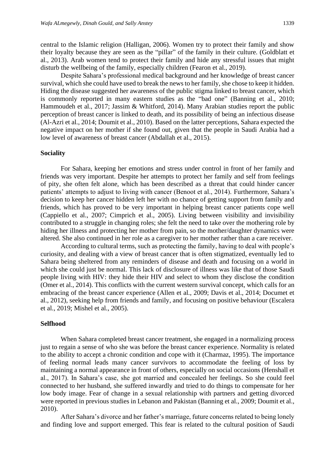central to the Islamic religion (Halligan, 2006). Women try to protect their family and show their loyalty because they are seen as the "pillar" of the family in their culture. (Goldblatt et al., 2013). Arab women tend to protect their family and hide any stressful issues that might disturb the wellbeing of the family, especially children (Fearon et al., 2019).

Despite Sahara's professional medical background and her knowledge of breast cancer survival, which she could have used to break the news to her family, she chose to keep it hidden. Hiding the disease suggested her awareness of the public stigma linked to breast cancer, which is commonly reported in many eastern studies as the "bad one" (Banning et al., 2010; Hammoudeh et al., 2017; Jassim & Whitford, 2014). Many Arabian studies report the public perception of breast cancer is linked to death, and its possibility of being an infectious disease (Al-Azri et al., 2014; Doumit et al., 2010). Based on the latter perceptions, Sahara expected the negative impact on her mother if she found out, given that the people in Saudi Arabia had a low level of awareness of breast cancer (Abdallah et al., 2015).

#### **Sociality**

For Sahara, keeping her emotions and stress under control in front of her family and friends was very important. Despite her attempts to protect her family and self from feelings of pity, she often felt alone, which has been described as a threat that could hinder cancer patients' attempts to adjust to living with cancer (Benoot et al., 2014). Furthermore, Sahara's decision to keep her cancer hidden left her with no chance of getting support from family and friends, which has proved to be very important in helping breast cancer patients cope well (Cappiello et al., 2007; Cimprich et al., 2005). Living between visibility and invisibility contributed to a struggle in changing roles; she felt the need to take over the mothering role by hiding her illness and protecting her mother from pain, so the mother/daughter dynamics were altered. She also continued in her role as a caregiver to her mother rather than a care receiver.

According to cultural terms, such as protecting the family, having to deal with people's curiosity, and dealing with a view of breast cancer that is often stigmatized, eventually led to Sahara being sheltered from any reminders of disease and death and focusing on a world in which she could just be normal. This lack of disclosure of illness was like that of those Saudi people living with HIV: they hide their HIV and select to whom they disclose the condition (Omer et al., 2014). This conflicts with the current western survival concept, which calls for an embracing of the breast cancer experience (Allen et al., 2009; Davis et al., 2014; Documet et al., 2012), seeking help from friends and family, and focusing on positive behaviour (Escalera et al., 2019; Mishel et al., 2005).

#### **Selfhood**

When Sahara completed breast cancer treatment, she engaged in a normalizing process just to regain a sense of who she was before the breast cancer experience. Normality is related to the ability to accept a chronic condition and cope with it (Charmaz, 1995). The importance of feeling normal leads many cancer survivors to accommodate the feeling of loss by maintaining a normal appearance in front of others, especially on social occasions (Henshall et al., 2017). In Sahara's case, she got married and concealed her feelings. So she could feel connected to her husband, she suffered inwardly and tried to do things to compensate for her low body image. Fear of change in a sexual relationship with partners and getting divorced were reported in previous studies in Lebanon and Pakistan (Banning et al., 2009; Doumit et al., 2010).

After Sahara's divorce and her father's marriage, future concerns related to being lonely and finding love and support emerged. This fear is related to the cultural position of Saudi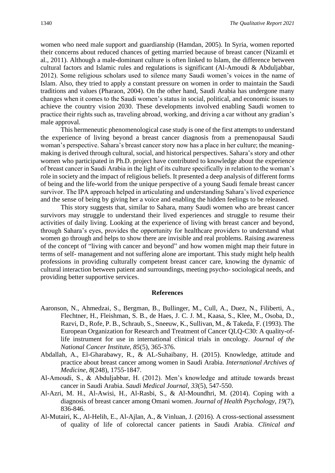women who need male support and guardianship (Hamdan, 2005). In Syria, women reported their concerns about reduced chances of getting married because of breast cancer (Nizamli et al., 2011). Although a male-dominant culture is often linked to Islam, the difference between cultural factors and Islamic rules and regulations is significant (Al-Amoudi & Abduljabbar, 2012). Some religious scholars used to silence many Saudi women's voices in the name of Islam. Also, they tried to apply a constant pressure on women in order to maintain the Saudi traditions and values (Pharaon, 2004). On the other hand, Saudi Arabia has undergone many changes when it comes to the Saudi women's status in social, political, and economic issues to achieve the country vision 2030. These developments involved enabling Saudi women to practice their rights such as, traveling abroad, working, and driving a car without any gradian's male approval.

This hermeneutic phenomenological case study is one of the first attempts to understand the experience of living beyond a breast cancer diagnosis from a premenopausal Saudi woman's perspective. Sahara's breast cancer story now has a place in her culture; the meaningmaking is derived through cultural, social, and historical perspectives. Sahara's story and other women who participated in Ph.D. project have contributed to knowledge about the experience of breast cancer in Saudi Arabia in the light of its culture specifically in relation to the woman's role in society and the impact of religious beliefs. It presented a deep analysis of different forms of being and the life-world from the unique perspective of a young Saudi female breast cancer survivor. The IPA approach helped in articulating and understanding Sahara's lived experience and the sense of being by giving her a voice and enabling the hidden feelings to be released.

This story suggests that, similar to Sahara, many Saudi women who are breast cancer survivors may struggle to understand their lived experiences and struggle to resume their activities of daily living. Looking at the experience of living with breast cancer and beyond, through Sahara's eyes, provides the opportunity for healthcare providers to understand what women go through and helps to show there are invisible and real problems. Raising awareness of the concept of "living with cancer and beyond" and how women might map their future in terms of self- management and not suffering alone are important. This study might help health professions in providing culturally competent breast cancer care, knowing the dynamic of cultural interaction between patient and surroundings, meeting psycho- sociological needs, and providing better supportive services.

#### **References**

- Aaronson, N., Ahmedzai, S., Bergman, B., Bullinger, M., Cull, A., Duez, N., Filiberti, A., Flechtner, H., Fleishman, S. B., de Haes, J. C. J. M., Kaasa, S., Klee, M., Osoba, D., Razvi, D., Rofe, P. B., Schraub, S., Sneeuw, K., Sullivan, M., & Takeda, F. (1993). The European Organization for Research and Treatment of Cancer QLQ-C30: A quality-oflife instrument for use in international clinical trials in oncology. *Journal of the National Cancer Institute, 85*(5), 365-376.
- Abdallah, A., El-Gharabawy, R., & AL-Suhaibany, H. (2015). Knowledge, attitude and practice about breast cancer among women in Saudi Arabia. *International Archives of Medicine, 8*(248), 1755-1847.
- Al-Amoudi, S., & Abduljabbar, H. (2012). Men's knowledge and attitude towards breast cancer in Saudi Arabia. *Saudi Medical Journal, 33*(5), 547-550.
- Al-Azri, M. H., Al-Awisi, H., Al-Rasbi, S., & Al-Moundhri, M. (2014). Coping with a diagnosis of breast cancer among Omani women. *Journal of Health Psychology, 19*(7), 836-846.
- Al-Mutairi, K., Al-Helih, E., Al-Ajlan, A., & Vinluan, J. (2016). A cross-sectional assessment of quality of life of colorectal cancer patients in Saudi Arabia. *Clinical and*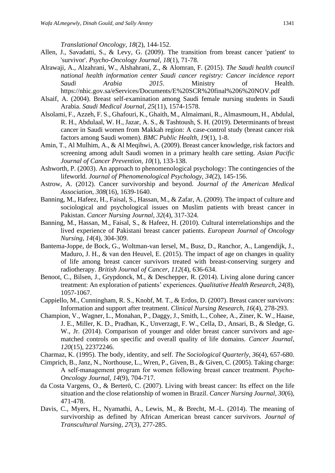*Translational Oncology, 18*(2), 144-152.

- Allen, J., Savadatti, S., & Levy, G. (2009). The transition from breast cancer 'patient' to 'survivor'. *Psycho-Oncology Journal, 18*(1), 71-78.
- Alrawaji, A., Alzahrani, W., Alshahrani, Z., & Alomran, F. (2015). *The Saudi health council national health information center Saudi cancer registry: Cancer incidence report Saudi Arabia 2015*. Ministry of Health. https://nhic.gov.sa/eServices/Documents/E%20SCR%20final%206%20NOV.pdf
- Alsaif, A. (2004). Breast self-examination among Saudi female nursing students in Saudi Arabia. *Saudi Medical Journal, 25*(11), 1574-1578.
- Alsolami, F., Azzeh, F. S., Ghafouri, K., Ghaith, M., Almaimani, R., Almasmoum, H., Abdulal, R. H., Abdulaal, W. H., Jazar, A. S., & Tashtoush, S. H. (2019). Determinants of breast cancer in Saudi women from Makkah region: A case-control study (breast cancer risk factors among Saudi women). *BMC Public Health*, *19*(1), 1-8.
- Amin, T., Al Mulhim, A., & Al Meqihwi, A. (2009). Breast cancer knowledge, risk factors and screening among adult Saudi women in a primary health care setting. *Asian Pacific Journal of Cancer Prevention, 10*(1), 133-138.
- Ashworth, P. (2003). An approach to phenomenological psychology: The contingencies of the lifeworld. *Journal of Phenomenological Psychology, 34*(2), 145-156.
- Astrow, A. (2012). Cancer survivorship and beyond. *Journal of the American Medical Association, 308*(16), 1639-1640.
- Banning, M., Hafeez, H., Faisal, S., Hassan, M., & Zafar, A. (2009). The impact of culture and sociological and psychological issues on Muslim patients with breast cancer in Pakistan. *Cancer Nursing Journal, 32*(4), 317-324.
- Banning, M., Hassan, M., Faisal, S., & Hafeez, H. (2010). Cultural interrelationships and the lived experience of Pakistani breast cancer patients. *European Journal of Oncology Nursing, 14*(4), 304-309.
- Bantema-Joppe, de Bock, G., Woltman-van Iersel, M., Busz, D., Ranchor, A., Langendijk, J., Maduro, J. H., & van den Heuvel, E. (2015). The impact of age on changes in quality of life among breast cancer survivors treated with breast-conserving surgery and radiotherapy. *British Journal of Cancer, 112*(4), 636-634.
- Benoot, C., Bilsen, J., Grypdonck, M., & Deschepper, R. (2014). Living alone during cancer treatment: An exploration of patients' experiences. *Qualitative Health Research, 24*(8), 1057-1067.
- Cappiello, M., Cunningham, R. S., Knobf, M. T., & Erdos, D. (2007). Breast cancer survivors: Information and support after treatment. *Clinical Nursing Research, 16*(4), 278-293.
- Champion, V., Wagner, L., Monahan, P., Daggy, J., Smith, L., Cohee, A., Ziner, K. W., Haase, J. E., Miller, K. D., Pradhan, K., Unverzagt, F. W., Cella, D., Ansari, B., & Sledge, G. W., Jr. (2014). Comparison of younger and older breast cancer survivors and agematched controls on specific and overall quality of life domains. *Cancer Journal, 120*(15), 22372246.
- Charmaz, K. (1995). The body, identity, and self. *The Sociological Quarterly, 36*(4), 657-680.
- Cimprich, B., Janz, N., Northouse, L., Wren, P., Given, B., & Given, C. (2005). Taking charge: A self‐management program for women following breast cancer treatment. *Psycho-Oncology Journal, 14*(9), 704-717.
- da Costa Vargens, O., & Berterö, C. (2007). Living with breast cancer: Its effect on the life situation and the close relationship of women in Brazil. *Cancer Nursing Journal, 30*(6), 471-478.
- Davis, C., Myers, H., Nyamathi, A., Lewis, M., & Brecht, M.-L. (2014). The meaning of survivorship as defined by African American breast cancer survivors. *Journal of Transcultural Nursing, 27*(3), 277-285.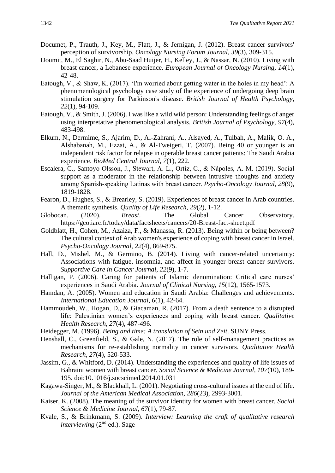- Documet, P., Trauth, J., Key, M., Flatt, J., & Jernigan, J. (2012). Breast cancer survivors' perception of survivorship. *Oncology Nursing Forum Journal, 39*(3), 309-315.
- Doumit, M., El Saghir, N., Abu-Saad Huijer, H., Kelley, J., & Nassar, N. (2010). Living with breast cancer, a Lebanese experience. *European Journal of Oncology Nursing, 14*(1), 42-48.
- Eatough, V., & Shaw, K. (2017). 'I'm worried about getting water in the holes in my head': A phenomenological psychology case study of the experience of undergoing deep brain stimulation surgery for Parkinson's disease. *British Journal of Health Psychology, 22*(1), 94-109.
- Eatough, V., & Smith, J. (2006). I was like a wild wild person: Understanding feelings of anger using interpretative phenomenological analysis. *British Journal of Psychology, 97*(4), 483-498.
- Elkum, N., Dermime, S., Ajarim, D., Al-Zahrani, A., Alsayed, A., Tulbah, A., Malik, O. A., Alshabanah, M., Ezzat, A., & Al-Tweigeri, T. (2007). Being 40 or younger is an independent risk factor for relapse in operable breast cancer patients: The Saudi Arabia experience. *BioMed Central Journal, 7*(1), 222.
- Escalera, C., Santoyo‐Olsson, J., Stewart, A. L., Ortiz, C., & Nápoles, A. M. (2019). Social support as a moderator in the relationship between intrusive thoughts and anxiety among Spanish‐speaking Latinas with breast cancer. *Psycho*‐*Oncology Journal, 28*(9), 1819-1828.
- Fearon, D., Hughes, S., & Brearley, S. (2019). Experiences of breast cancer in Arab countries. A thematic synthesis. *Quality of Life Research, 29*(2), 1-12.
- Globocan. (2020). *Breast*. The Global Cancer Observatory. https://gco.iarc.fr/today/data/factsheets/cancers/20-Breast-fact-sheet.pdf
- Goldblatt, H., Cohen, M., Azaiza, F., & Manassa, R. (2013). Being within or being between? The cultural context of Arab women's experience of coping with breast cancer in Israel. *Psycho*‐*Oncology Journal, 22*(4), 869-875.
- Hall, D., Mishel, M., & Germino, B. (2014). Living with cancer-related uncertainty: Associations with fatigue, insomnia, and affect in younger breast cancer survivors. *Supportive Care in Cancer Journal, 22*(9), 1-7.
- Halligan, P. (2006). Caring for patients of Islamic denomination: Critical care nurses' experiences in Saudi Arabia. *Journal of Clinical Nursing, 15*(12), 1565-1573.
- Hamdan, A. (2005). Women and education in Saudi Arabia: Challenges and achievements. *International Education Journal, 6*(1), 42-64.
- Hammoudeh, W., Hogan, D., & Giacaman, R. (2017). From a death sentence to a disrupted life: Palestinian women's experiences and coping with breast cancer. *Qualitative Health Research, 27*(4), 487-496.
- Heidegger, M. (1996). *Being and time: A translation of Sein und Zeit*. SUNY Press.
- Henshall, C., Greenfield, S., & Gale, N. (2017). The role of self-management practices as mechanisms for re-establishing normality in cancer survivors. *Qualitative Health Research, 27*(4), 520-533.
- Jassim, G., & Whitford, D. (2014). Understanding the experiences and quality of life issues of Bahraini women with breast cancer. *Social Science & Medicine Journal, 107*(10), 189- 195. doi:10.1016/j.socscimed.2014.01.031
- Kagawa-Singer, M., & Blackhall, L. (2001). Negotiating cross-cultural issues at the end of life. *Journal of the American Medical Association, 286*(23), 2993-3001.
- Kaiser, K. (2008). The meaning of the survivor identity for women with breast cancer. *Social Science & Medicine Journal, 67*(1), 79-87.
- Kvale, S., & Brinkmann, S. (2009). *Interview: Learning the craft of qualitative research interviewing* (2<sup>nd</sup> ed.). Sage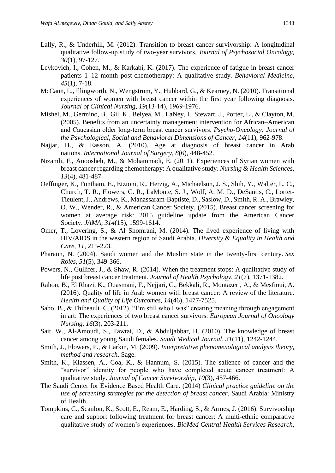- Lally, R., & Underhill, M. (2012). Transition to breast cancer survivorship: A longitudinal qualitative follow-up study of two-year survivors. *Journal of Psychosocial Oncology, 30*(1), 97-127.
- Levkovich, I., Cohen, M., & Karkabi, K. (2017). The experience of fatigue in breast cancer patients 1–12 month post-chemotherapy: A qualitative study. *Behavioral Medicine*, *45*(1), 7-18.
- McCann, L., Illingworth, N., Wengström, Y., Hubbard, G., & Kearney, N. (2010). Transitional experiences of women with breast cancer within the first year following diagnosis. *Journal of Clinical Nursing, 19*(13‐14), 1969-1976.
- Mishel, M., Germino, B., Gil, K., Belyea, M., LaNey, I., Stewart, J., Porter, L., & Clayton, M. (2005). Benefits from an uncertainty management intervention for African–American and Caucasian older long‐term breast cancer survivors. *Psycho*‐*Oncology: Journal of the Psychological, Social and Behavioral Dimensions of Cancer, 14*(11), 962-978.
- Najjar, H., & Easson, A. (2010). Age at diagnosis of breast cancer in Arab nations. *International Journal of Surgery, 8*(6), 448-452.
- Nizamli, F., Anoosheh, M., & Mohammadi, E. (2011). Experiences of Syrian women with breast cancer regarding chemotherapy: A qualitative study. *Nursing & Health Sciences, 13*(4), 481-487.
- Oeffinger, K., Fontham, E., Etzioni, R., Herzig, A., Michaelson, J. S., Shih, Y., Walter, L. C., Church, T. R., Flowers, C. R., LaMonte, S. J., Wolf, A. M. D., DeSantis, C., Lortet-Tieulent, J., Andrews, K., Manassaram-Baptiste, D., Saslow, D., Smith, R. A., Brawley, O. W., Wender, R., & American Cancer Society. (2015). Breast cancer screening for women at average risk: 2015 guideline update from the American Cancer Society. *JAMA*, *314*(15), 1599-1614.
- Omer, T., Lovering, S., & Al Shomrani, M. (2014). The lived experience of living with HIV/AIDS in the western region of Saudi Arabia. *Diversity & Equality in Health and Care, 11*, 215-223.
- Pharaon, N. (2004). Saudi women and the Muslim state in the twenty-first century. *Sex Roles*, *51*(5), 349-366.
- Powers, N., Gullifer, J., & Shaw, R. (2014). When the treatment stops: A qualitative study of life post breast cancer treatment. *Journal of Health Psychology, 21*(7), 1371-1382.
- Rahou, B., El Rhazi, K., Ouasmani, F., Nejjari, C., Bekkali, R., Montazeri, A., & Mesfioui, A. (2016). Quality of life in Arab women with breast cancer: A review of the literature. *Health and Quality of Life Outcomes, 14*(46), 1477-7525.
- Sabo, B., & Thibeault, C. (2012). "I'm still who I was" creating meaning through engagement in art: The experiences of two breast cancer survivors. *European Journal of Oncology Nursing, 16*(3), 203-211.
- Sait, W., Al-Amoudi, S., Tawtai, D., & Abduljabbar, H. (2010). The knowledge of breast cancer among young Saudi females. *Saudi Medical Journal, 31*(11), 1242-1244.
- Smith, J., Flowers, P., & Larkin, M. (2009). *Interpretative phenomenological analysis theory, method and research*. Sage.
- Smith, K., Klassen, A., Coa, K., & Hannum, S. (2015). The salience of cancer and the "survivor" identity for people who have completed acute cancer treatment: A qualitative study. *Journal of Cancer Survivorship, 10*(3), 457-466.
- The Saudi Center for Evidence Based Health Care. (2014) *Clinical practice guideline on the use of screening strategies for the detection of breast cancer*. Saudi Arabia: Ministry of Health.
- Tompkins, C., Scanlon, K., Scott, E., Ream, E., Harding, S., & Armes, J. (2016). Survivorship care and support following treatment for breast cancer: A multi-ethnic comparative qualitative study of women's experiences. *BioMed Central Health Services Research,*